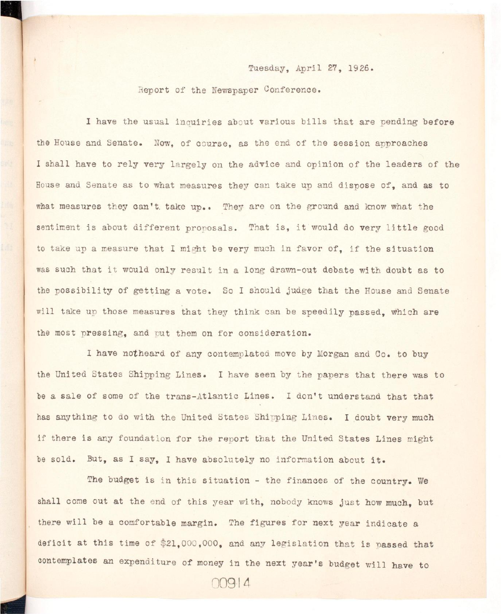## Tuesday, April 27, 1926.

## Report of the Newspaper Conference.

I have the usual inquiries about various bills that are pending before the House and Senate. Now, of course, as the end of the session approaches I shall have to rely very largely on the advice and opinion of the leaders of the House and Senate as to what measures they can take up and dispose of, and as to what measures they can't take up.. They are on the ground and know what the sentiment is about different proposals. That is, it would do very little good to take up a measure that I might be very much in favor of, if the situation was such that it would only result in a long drawn-out debate with doubt as to the possibility of getting a vote. So I should judge that the House and Senate will take up those measures that they think can be speedily passed, which are the most pressing, and put them on for consideration.

I have notheard of any contemplated move by Morgan and Co. to buy the United States Shipping Lines. I have seen by the papers that there was to be a sale of some of the trans-Atlantic Lines. I don't understand that that has anything to do with the United States Shipping Lines. I doubt very much if there is any foundation for the report that the United States Lines might be sold. But, as I say, I have absolutely no information about it.

The budget is in this situation - the finances of the country. We shall come out at the end of this year with, nobody knows just how much, but there will be a comfortable margin. The figures for next year indicate a deficit at this time of \$21,000,000, and any legislation that is passed that contemplates an expenditure of money in the next year's budget will have to

**00914**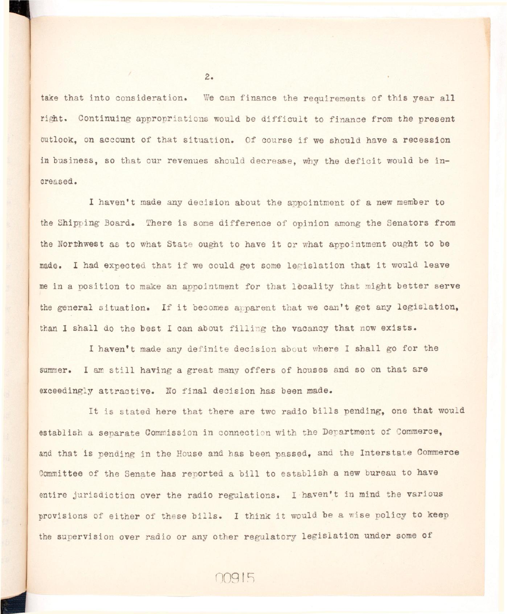take that into consideration. We can finance the requirements of this year all right. Continuing appropriations would be difficult to finance from the present outlook, on account of that situation. Of course if we should have a recession in business, so that our revenues should decrease, why the deficit would be increased.

I haven't made any decision about the appointment of a new member to the Shipping Board. There is some difference of opinion among the Senators from the Northwest as to what State ought to have it or what appointment ought to be made. I had expected that if we could get some legislation that it would leave me in a position to make an appointment for that locality that might better serve the general situation. If it becomes apparent that we can't get any legislation, than I shall do the best I can about filling the vacancy that now exists.

I haven't made any definite decision about where I shall go for the summer. I am still having a great many offers of houses and so on that are exceedingly attractive. No final decision has been made.

It is stated here that there are two radio bills pending, one that would establish a separate Commission in connection with the Department of Commerce, and that is pending in the House and has been passed, and the Interstate Commerce Committee of the Senate has reported a bill to establish a new bureau to have entire jurisdiction over the radio regulations. I haven't in mind the various provisions of either of these bills. I think it would be a wise policy to keep the supervision over radio or any other regulatory legislation under some of

00915

 $2.$